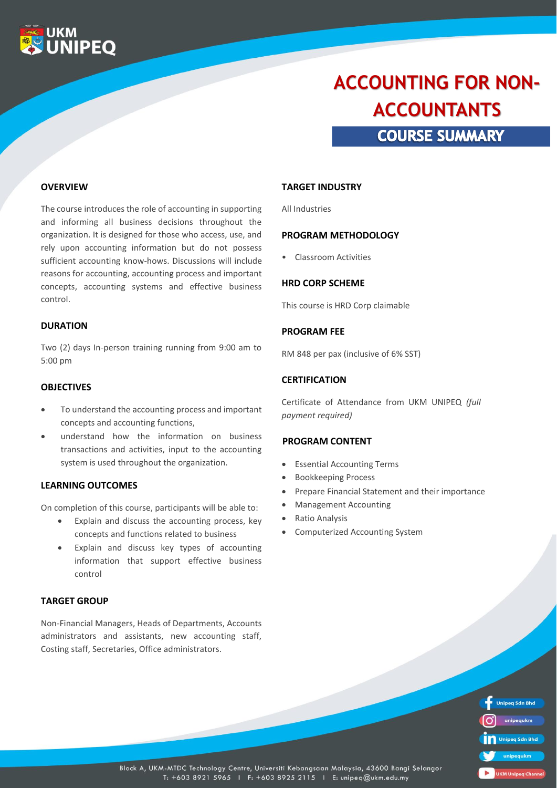

# **COURSE SUMMARY ACCOUNTING FOR NON-ACCOUNTANTS**

### **OVERVIEW**

The course introduces the role of accounting in supporting and informing all business decisions throughout the organization. It is designed for those who access, use, and rely upon accounting information but do not possess sufficient accounting know-hows. Discussions will include reasons for accounting, accounting process and important concepts, accounting systems and effective business control.

### **DURATION**

Two (2) days In-person training running from 9:00 am to 5:00 pm

#### **OBJECTIVES**

- To understand the accounting process and important concepts and accounting functions,
- understand how the information on business transactions and activities, input to the accounting system is used throughout the organization.

## **LEARNING OUTCOMES**

On completion of this course, participants will be able to:

- Explain and discuss the accounting process, key concepts and functions related to business
- Explain and discuss key types of accounting information that support effective business control

# **TARGET GROUP**

Non-Financial Managers, Heads of Departments, Accounts administrators and assistants, new accounting staff, Costing staff, Secretaries, Office administrators.

#### **TARGET INDUSTRY**

All Industries

### **PROGRAM METHODOLOGY**

• Classroom Activities

## **HRD CORP SCHEME**

This course is HRD Corp claimable

#### **PROGRAM FEE**

RM 848 per pax (inclusive of 6% SST)

#### **CERTIFICATION**

Certificate of Attendance from UKM UNIPEQ *(full payment required)*

#### **PROGRAM CONTENT**

- Essential Accounting Terms
- Bookkeeping Process
- Prepare Financial Statement and their importance
- Management Accounting
- Ratio Analysis
- Computerized Accounting System

| <b>Unipeg Sdn Bhd</b>     |
|---------------------------|
| unipequkm                 |
| Unipeg Sdn Bhd            |
| unipequkm                 |
| <b>UKM Unipeg Channel</b> |

Block A, UKM-MTDC Technology Centre, Universiti Kebangsaan Malaysia, 43600 Bangi Selangor T: +603 8921 5965 | F: +603 8925 2115 | E: unipeq@ukm.edu.my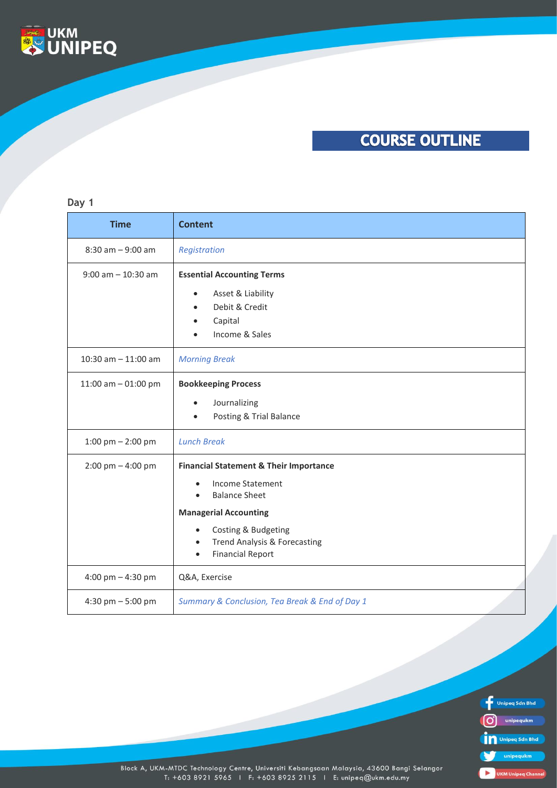

# **COURSE OUTLINE**

### **Day 1**

| <b>Time</b>                                  | <b>Content</b>                                                                                                                                                                                                                                                                          |
|----------------------------------------------|-----------------------------------------------------------------------------------------------------------------------------------------------------------------------------------------------------------------------------------------------------------------------------------------|
| $8:30$ am $-9:00$ am                         | Registration                                                                                                                                                                                                                                                                            |
| $9:00$ am $-10:30$ am                        | <b>Essential Accounting Terms</b><br>Asset & Liability<br>$\bullet$<br>Debit & Credit<br>$\bullet$<br>Capital<br>Income & Sales                                                                                                                                                         |
| 10:30 am $-$ 11:00 am                        | <b>Morning Break</b>                                                                                                                                                                                                                                                                    |
| 11:00 am $-$ 01:00 pm<br>1:00 pm $-$ 2:00 pm | <b>Bookkeeping Process</b><br>Journalizing<br>$\bullet$<br>Posting & Trial Balance<br><b>Lunch Break</b>                                                                                                                                                                                |
| $2:00 \text{ pm} - 4:00 \text{ pm}$          | <b>Financial Statement &amp; Their Importance</b><br><b>Income Statement</b><br>$\bullet$<br><b>Balance Sheet</b><br>$\bullet$<br><b>Managerial Accounting</b><br>Costing & Budgeting<br>$\bullet$<br>Trend Analysis & Forecasting<br>$\bullet$<br><b>Financial Report</b><br>$\bullet$ |
| 4:00 pm $-$ 4:30 pm                          | Q&A, Exercise                                                                                                                                                                                                                                                                           |
| 4:30 pm - 5:00 pm                            | Summary & Conclusion, Tea Break & End of Day 1                                                                                                                                                                                                                                          |



Block A, UKM-MTDC Technology Centre, Universiti Kebangsaan Malaysia, 43600 Bangi Selangor<br>T: +603 8921 5965 1 F: +603 8925 2115 1 E: unipeq@ukm.edu.my